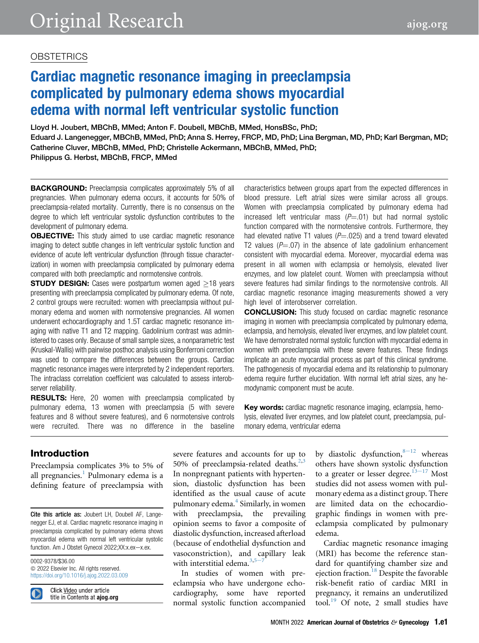### **OBSTETRICS**

# Cardiac magnetic resonance imaging in preeclampsia complicated by pulmonary edema shows myocardial edema with normal left ventricular systolic function

Lloyd H. Joubert, MBChB, MMed; Anton F. Doubell, MBChB, MMed, HonsBSc, PhD; Eduard J. Langenegger, MBChB, MMed, PhD; Anna S. Herrey, FRCP, MD, PhD; Lina Bergman, MD, PhD; Karl Bergman, MD; Catherine Cluver, MBChB, MMed, PhD; Christelle Ackermann, MBChB, MMed, PhD; Philippus G. Herbst, MBChB, FRCP, MMed

**BACKGROUND:** Preeclampsia complicates approximately 5% of all pregnancies. When pulmonary edema occurs, it accounts for 50% of preeclampsia-related mortality. Currently, there is no consensus on the degree to which left ventricular systolic dysfunction contributes to the development of pulmonary edema.

**OBJECTIVE:** This study aimed to use cardiac magnetic resonance imaging to detect subtle changes in left ventricular systolic function and evidence of acute left ventricular dysfunction (through tissue characterization) in women with preeclampsia complicated by pulmonary edema compared with both preeclamptic and normotensive controls.

**STUDY DESIGN:** Cases were postpartum women aged  $>18$  years presenting with preeclampsia complicated by pulmonary edema. Of note, 2 control groups were recruited: women with preeclampsia without pulmonary edema and women with normotensive pregnancies. All women underwent echocardiography and 1.5T cardiac magnetic resonance imaging with native T1 and T2 mapping. Gadolinium contrast was administered to cases only. Because of small sample sizes, a nonparametric test (Kruskal-Wallis) with pairwise posthoc analysis using Bonferroni correction was used to compare the differences between the groups. Cardiac magnetic resonance images were interpreted by 2 independent reporters. The intraclass correlation coefficient was calculated to assess interobserver reliability.

RESULTS: Here, 20 women with preeclampsia complicated by pulmonary edema, 13 women with preeclampsia (5 with severe features and 8 without severe features), and 6 normotensive controls were recruited. There was no difference in the baseline characteristics between groups apart from the expected differences in blood pressure. Left atrial sizes were similar across all groups. Women with preeclampsia complicated by pulmonary edema had increased left ventricular mass  $(P=01)$  but had normal systolic function compared with the normotensive controls. Furthermore, they had elevated native T1 values ( $P = .025$ ) and a trend toward elevated T2 values ( $P = .07$ ) in the absence of late gadolinium enhancement consistent with myocardial edema. Moreover, myocardial edema was present in all women with eclampsia or hemolysis, elevated liver enzymes, and low platelet count. Women with preeclampsia without severe features had similar findings to the normotensive controls. All cardiac magnetic resonance imaging measurements showed a very high level of interobserver correlation.

**CONCLUSION:** This study focused on cardiac magnetic resonance imaging in women with preeclampsia complicated by pulmonary edema, eclampsia, and hemolysis, elevated liver enzymes, and low platelet count. We have demonstrated normal systolic function with myocardial edema in women with preeclampsia with these severe features. These findings implicate an acute myocardial process as part of this clinical syndrome. The pathogenesis of myocardial edema and its relationship to pulmonary edema require further elucidation. With normal left atrial sizes, any hemodynamic component must be acute.

Key words: cardiac magnetic resonance imaging, eclampsia, hemolysis, elevated liver enzymes, and low platelet count, preeclampsia, pulmonary edema, ventricular edema

### Introduction

Preeclampsia complicates 3% to 5% of all pregnancies.<sup>[1](#page-8-0)</sup> Pulmonary edema is a defining feature of preeclampsia with

Cite this article as: Joubert LH, Doubell AF, Langenegger EJ, et al. Cardiac magnetic resonance imaging in preeclampsia complicated by pulmonary edema shows myocardial edema with normal left ventricular systolic function. Am J Obstet Gynecol 2022;XX:x.ex-x.ex.

0002-9378/\$36.00 © 2022 Elsevier Inc. All rights reserved. <https://doi.org/10.1016/j.ajog.2022.03.009>

Click Video under article title in Contents at ajog.org severe features and accounts for up to 50% of preeclampsia-related deaths. $2,3$  $2,3$ In nonpregnant patients with hypertension, diastolic dysfunction has been identified as the usual cause of acute pulmonary edema.<sup>[4](#page-8-3)</sup> Similarly, in women with preeclampsia, the prevailing opinion seems to favor a composite of diastolic dysfunction, increased afterload (because of endothelial dysfunction and vasoconstriction), and capillary leak with int[e](#page-8-4)rstitial edema. $3,5-7$  $3,5-7$ 

In studies of women with preeclampsia who have undergone echocardiography, some have reported normal systolic function accompanied by diastolic dysfunction, $8-12$  $8-12$  whereas others have shown systolic dysfunction to a greater or lesser degree. $13-17$  $13-17$  Most studies did not assess women with pulmonary edema as a distinct group. There are limited data on the echocardiographic findings in women with preeclampsia complicated by pulmonary edema.

Cardiac magnetic resonance imaging (MRI) has become the reference standard for quantifying chamber size and ejection fraction.<sup>[18](#page-8-7)</sup> Despite the favorable risk-benefit ratio of cardiac MRI in pregnancy, it remains an underutilized tool.<sup>[19](#page-8-8)</sup> Of note, 2 small studies have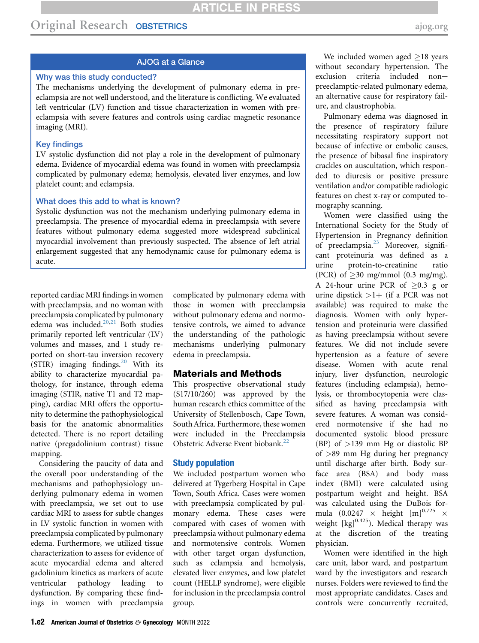### AJOG at a Glance

### Why was this study conducted?

The mechanisms underlying the development of pulmonary edema in preeclampsia are not well understood, and the literature is conflicting. We evaluated left ventricular (LV) function and tissue characterization in women with preeclampsia with severe features and controls using cardiac magnetic resonance imaging (MRI).

### Key findings

LV systolic dysfunction did not play a role in the development of pulmonary edema. Evidence of myocardial edema was found in women with preeclampsia complicated by pulmonary edema; hemolysis, elevated liver enzymes, and low platelet count; and eclampsia.

#### What does this add to what is known?

Systolic dysfunction was not the mechanism underlying pulmonary edema in preeclampsia. The presence of myocardial edema in preeclampsia with severe features without pulmonary edema suggested more widespread subclinical myocardial involvement than previously suspected. The absence of left atrial enlargement suggested that any hemodynamic cause for pulmonary edema is acute.

reported cardiac MRI findings in women with preeclampsia, and no woman with preeclampsia complicated by pulmonary edema was included. $20,21$  $20,21$  $20,21$  Both studies primarily reported left ventricular (LV) volumes and masses, and 1 study reported on short-tau inversion recovery (STIR) imaging findings.<sup>[20](#page-8-9)</sup> With its ability to characterize myocardial pathology, for instance, through edema imaging (STIR, native T1 and T2 mapping), cardiac MRI offers the opportunity to determine the pathophysiological basis for the anatomic abnormalities detected. There is no report detailing native (pregadolinium contrast) tissue mapping.

Considering the paucity of data and the overall poor understanding of the mechanisms and pathophysiology underlying pulmonary edema in women with preeclampsia, we set out to use cardiac MRI to assess for subtle changes in LV systolic function in women with preeclampsia complicated by pulmonary edema. Furthermore, we utilized tissue characterization to assess for evidence of acute myocardial edema and altered gadolinium kinetics as markers of acute ventricular pathology leading to dysfunction. By comparing these findings in women with preeclampsia

complicated by pulmonary edema with those in women with preeclampsia without pulmonary edema and normotensive controls, we aimed to advance the understanding of the pathologic mechanisms underlying pulmonary edema in preeclampsia.

### Materials and Methods

This prospective observational study (S17/10/260) was approved by the human research ethics committee of the University of Stellenbosch, Cape Town, South Africa. Furthermore, these women were included in the Preeclampsia Obstetric Adverse Event biobank.[22](#page-9-0)

### Study population

We included postpartum women who delivered at Tygerberg Hospital in Cape Town, South Africa. Cases were women with preeclampsia complicated by pulmonary edema. These cases were compared with cases of women with preeclampsia without pulmonary edema and normotensive controls. Women with other target organ dysfunction, such as eclampsia and hemolysis, elevated liver enzymes, and low platelet count (HELLP syndrome), were eligible for inclusion in the preeclampsia control group.

We included women aged  $\geq$ 18 years without secondary hypertension. The exclusion criteria included nonpreeclamptic-related pulmonary edema, an alternative cause for respiratory failure, and claustrophobia.

Pulmonary edema was diagnosed in the presence of respiratory failure necessitating respiratory support not because of infective or embolic causes, the presence of bibasal fine inspiratory crackles on auscultation, which responded to diuresis or positive pressure ventilation and/or compatible radiologic features on chest x-ray or computed tomography scanning.

Women were classified using the International Society for the Study of Hypertension in Pregnancy definition of preeclampsia.<sup>[23](#page-9-1)</sup> Moreover, significant proteinuria was defined as a urine protein-to-creatinine ratio (PCR) of  $\geq$ 30 mg/mmol (0.3 mg/mg). A 24-hour urine PCR of  $\geq 0.3$  g or urine dipstick  $>1+$  (if a PCR was not available) was required to make the diagnosis. Women with only hypertension and proteinuria were classified as having preeclampsia without severe features. We did not include severe hypertension as a feature of severe disease. Women with acute renal injury, liver dysfunction, neurologic features (including eclampsia), hemolysis, or thrombocytopenia were classified as having preeclampsia with severe features. A woman was considered normotensive if she had no documented systolic blood pressure (BP) of >139 mm Hg or diastolic BP of >89 mm Hg during her pregnancy until discharge after birth. Body surface area (BSA) and body mass index (BMI) were calculated using postpartum weight and height. BSA was calculated using the DuBois formula (0.0247  $\times$  height [m]<sup>0.725</sup>  $\times$ weight  $[kg]^{0.425}$ ). Medical therapy was at the discretion of the treating physician.

Women were identified in the high care unit, labor ward, and postpartum ward by the investigators and research nurses. Folders were reviewed to find the most appropriate candidates. Cases and controls were concurrently recruited,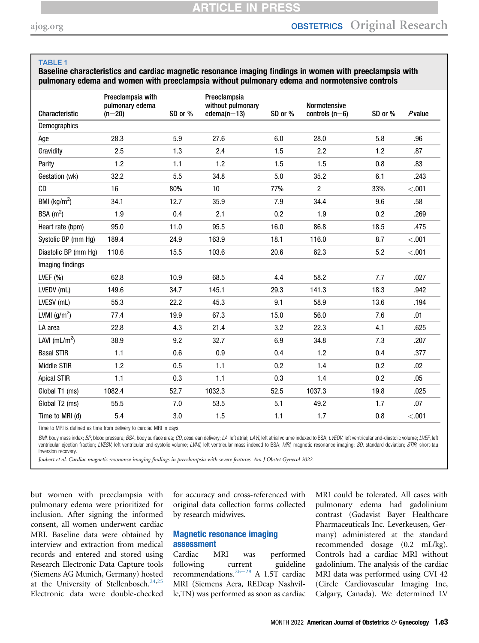### <span id="page-2-0"></span>TABLE 1

Baseline characteristics and cardiac magnetic resonance imaging findings in women with preeclampsia with pulmonary edema and women with preeclampsia without pulmonary edema and normotensive controls

| Characteristic       | Preeclampsia with<br>pulmonary edema<br>$(n=20)$ | SD or % | Preeclampsia<br>without pulmonary<br>edema $(n=13)$ | SD or % | Normotensive<br>controls $(n=6)$ | SD or % | $P$ value |
|----------------------|--------------------------------------------------|---------|-----------------------------------------------------|---------|----------------------------------|---------|-----------|
| Demographics         |                                                  |         |                                                     |         |                                  |         |           |
| Age                  | 28.3                                             | 5.9     | 27.6                                                | 6.0     | 28.0                             | 5.8     | .96       |
| Gravidity            | 2.5                                              | 1.3     | 2.4                                                 | 1.5     | 2.2                              | 1.2     | .87       |
| Parity               | 1.2                                              | 1.1     | 1.2                                                 | 1.5     | 1.5                              | 0.8     | .83       |
| Gestation (wk)       | 32.2                                             | 5.5     | 34.8                                                | 5.0     | 35.2                             | 6.1     | .243      |
| CD                   | 16                                               | 80%     | 10                                                  | 77%     | 2                                | 33%     | < .001    |
| BMI $(kg/m2)$        | 34.1                                             | 12.7    | 35.9                                                | 7.9     | 34.4                             | 9.6     | .58       |
| BSA $(m^2)$          | 1.9                                              | 0.4     | 2.1                                                 | 0.2     | 1.9                              | 0.2     | .269      |
| Heart rate (bpm)     | 95.0                                             | 11.0    | 95.5                                                | 16.0    | 86.8                             | 18.5    | .475      |
| Systolic BP (mm Hg)  | 189.4                                            | 24.9    | 163.9                                               | 18.1    | 116.0                            | 8.7     | < .001    |
| Diastolic BP (mm Hg) | 110.6                                            | 15.5    | 103.6                                               | 20.6    | 62.3                             | 5.2     | < .001    |
| Imaging findings     |                                                  |         |                                                     |         |                                  |         |           |
| LVEF $(% )$          | 62.8                                             | 10.9    | 68.5                                                | 4.4     | 58.2                             | 7.7     | .027      |
| LVEDV (mL)           | 149.6                                            | 34.7    | 145.1                                               | 29.3    | 141.3                            | 18.3    | .942      |
| LVESV (mL)           | 55.3                                             | 22.2    | 45.3                                                | 9.1     | 58.9                             | 13.6    | .194      |
| LVMI $(g/m^2)$       | 77.4                                             | 19.9    | 67.3                                                | 15.0    | 56.0                             | 7.6     | .01       |
| LA area              | 22.8                                             | 4.3     | 21.4                                                | 3.2     | 22.3                             | 4.1     | .625      |
| LAVI ( $mL/m2$ )     | 38.9                                             | 9.2     | 32.7                                                | 6.9     | 34.8                             | 7.3     | .207      |
| <b>Basal STIR</b>    | 1.1                                              | 0.6     | 0.9                                                 | 0.4     | 1.2                              | 0.4     | .377      |
| Middle STIR          | 1.2                                              | 0.5     | 1.1                                                 | 0.2     | 1.4                              | 0.2     | .02       |
| <b>Apical STIR</b>   | 1.1                                              | 0.3     | 1.1                                                 | 0.3     | 1.4                              | 0.2     | .05       |
| Global T1 (ms)       | 1082.4                                           | 52.7    | 1032.3                                              | 52.5    | 1037.3                           | 19.8    | .025      |
| Global T2 (ms)       | 55.5                                             | 7.0     | 53.5                                                | 5.1     | 49.2                             | 1.7     | .07       |
| Time to MRI (d)      | 5.4                                              | 3.0     | 1.5                                                 | 1.1     | 1.7                              | 0.8     | < .001    |

Time to MRI is defined as time from delivery to cardiac MRI in days.

BMI, body mass index: BP, blood pressure; BSA, body surface area; CD, cesarean delivery; LA, left atrial; LAVI, left atrial volume indexed to BSA; LVEDV, left ventricular end-diastolic volume; LVEF, left ventricular ejection fraction; LVESV, left ventricular end-systolic volume; LVMI, left ventricular mass indexed to BSA; MRI, magnetic resonance imaging; SD, standard deviation; STIR, short-tau inversion recovery.

Joubert et al. Cardiac magnetic resonance imaging findings in preeclampsia with severe features. Am J Obstet Gynecol 2022.

but women with preeclampsia with pulmonary edema were prioritized for inclusion. After signing the informed consent, all women underwent cardiac MRI. Baseline data were obtained by interview and extraction from medical records and entered and stored using Research Electronic Data Capture tools (Siemens AG Munich, Germany) hosted at the University of Stellenbosch.<sup>[24](#page-9-2)[,25](#page-9-3)</sup> Electronic data were double-checked for accuracy and cross-referenced with original data collection forms collected by research midwives.

### Magnetic resonance imaging assessment

Cardiac MRI was performed following c[urrent](#page-9-4) guideline recommendations.<sup>26-28</sup> A 1.5T cardiac MRI (Siemens Aera, REDcap Nashville,TN) was performed as soon as cardiac MRI could be tolerated. All cases with pulmonary edema had gadolinium contrast (Gadavist Bayer Healthcare Pharmaceuticals Inc. Leverkeusen, Germany) administered at the standard recommended dosage (0.2 mL/kg). Controls had a cardiac MRI without gadolinium. The analysis of the cardiac MRI data was performed using CVI 42 (Circle Cardiovascular Imaging Inc, Calgary, Canada). We determined LV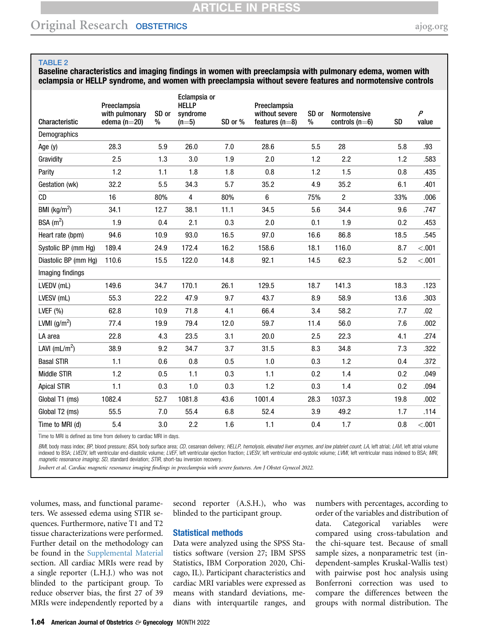# Original Research OBSTETRICS [ajog.org](http://www.AJOG.org)

#### <span id="page-3-0"></span>TABLE 2

Baseline characteristics and imaging findings in women with preeclampsia with pulmonary edema, women with eclampsia or HELLP syndrome, and women with preeclampsia without severe features and normotensive controls

| Characteristic            | Preeclampsia<br>with pulmonary<br>edema $(n=20)$ | SD or<br>% | Eclampsia or<br><b>HELLP</b><br>syndrome<br>$(n=5)$ | SD or % | Preeclampsia<br>without severe<br>features $(n=8)$ | SD or<br>% | Normotensive<br>controls $(n=6)$ | <b>SD</b> | $\overline{P}$<br>value |
|---------------------------|--------------------------------------------------|------------|-----------------------------------------------------|---------|----------------------------------------------------|------------|----------------------------------|-----------|-------------------------|
| Demographics              |                                                  |            |                                                     |         |                                                    |            |                                  |           |                         |
| Age (y)                   | 28.3                                             | 5.9        | 26.0                                                | 7.0     | 28.6                                               | 5.5        | 28                               | 5.8       | .93                     |
| Gravidity                 | 2.5                                              | 1.3        | 3.0                                                 | 1.9     | 2.0                                                | 1.2        | 2.2                              | 1.2       | .583                    |
| Parity                    | 1.2                                              | 1.1        | 1.8                                                 | 1.8     | 0.8                                                | 1.2        | 1.5                              | 0.8       | .435                    |
| Gestation (wk)            | 32.2                                             | 5.5        | 34.3                                                | 5.7     | 35.2                                               | 4.9        | 35.2                             | 6.1       | .401                    |
| <b>CD</b>                 | 16                                               | 80%        | 4                                                   | 80%     | 6                                                  | 75%        | 2                                | 33%       | .006                    |
| BMI ( $\text{kg/m}^2$ )   | 34.1                                             | 12.7       | 38.1                                                | 11.1    | 34.5                                               | 5.6        | 34.4                             | 9.6       | .747                    |
| BSA $(m^2)$               | 1.9                                              | 0.4        | 2.1                                                 | 0.3     | 2.0                                                | 0.1        | 1.9                              | 0.2       | .453                    |
| Heart rate (bpm)          | 94.6                                             | 10.9       | 93.0                                                | 16.5    | 97.0                                               | 16.6       | 86.8                             | 18.5      | .545                    |
| Systolic BP (mm Hg)       | 189.4                                            | 24.9       | 172.4                                               | 16.2    | 158.6                                              | 18.1       | 116.0                            | 8.7       | < .001                  |
| Diastolic BP (mm Hg)      | 110.6                                            | 15.5       | 122.0                                               | 14.8    | 92.1                                               | 14.5       | 62.3                             | 5.2       | < 0.001                 |
| Imaging findings          |                                                  |            |                                                     |         |                                                    |            |                                  |           |                         |
| LVEDV (mL)                | 149.6                                            | 34.7       | 170.1                                               | 26.1    | 129.5                                              | 18.7       | 141.3                            | 18.3      | .123                    |
| LVESV (mL)                | 55.3                                             | 22.2       | 47.9                                                | 9.7     | 43.7                                               | 8.9        | 58.9                             | 13.6      | .303                    |
| LVEF $(% )$               | 62.8                                             | 10.9       | 71.8                                                | 4.1     | 66.4                                               | 3.4        | 58.2                             | 7.7       | .02                     |
| LVMI $(g/m^2)$            | 77.4                                             | 19.9       | 79.4                                                | 12.0    | 59.7                                               | 11.4       | 56.0                             | 7.6       | .002                    |
| LA area                   | 22.8                                             | 4.3        | 23.5                                                | 3.1     | 20.0                                               | 2.5        | 22.3                             | 4.1       | .274                    |
| LAVI (mL/m <sup>2</sup> ) | 38.9                                             | 9.2        | 34.7                                                | 3.7     | 31.5                                               | 8.3        | 34.8                             | 7.3       | .322                    |
| <b>Basal STIR</b>         | 1.1                                              | 0.6        | 0.8                                                 | 0.5     | 1.0                                                | 0.3        | 1.2                              | 0.4       | .372                    |
| <b>Middle STIR</b>        | 1.2                                              | 0.5        | 1.1                                                 | 0.3     | 1.1                                                | 0.2        | 1.4                              | 0.2       | .049                    |
| <b>Apical STIR</b>        | 1.1                                              | 0.3        | 1.0                                                 | 0.3     | 1.2                                                | 0.3        | 1.4                              | 0.2       | .094                    |
| Global T1 (ms)            | 1082.4                                           | 52.7       | 1081.8                                              | 43.6    | 1001.4                                             | 28.3       | 1037.3                           | 19.8      | .002                    |
| Global T2 (ms)            | 55.5                                             | 7.0        | 55.4                                                | 6.8     | 52.4                                               | 3.9        | 49.2                             | 1.7       | .114                    |
| Time to MRI (d)           | 5.4                                              | 3.0        | 2.2                                                 | 1.6     | 1.1                                                | 0.4        | 1.7                              | 0.8       | < .001                  |

Time to MRI is defined as time from delivery to cardiac MRI in days.

*BMI*, body mass index; *BP*, blood pressure; *BSA*, body surface area; *CD,* cesarean delivery; *HELLP, hemolysis, elevated liver enzymes, and low platelet count; LA,* left atrial; LAV/, left atrial volume<br>indexed to BSA; magnetic resonance imaging; SD, standard deviation; STIR, short-tau inversion recovery.

Joubert et al. Cardiac magnetic resonance imaging findings in preeclampsia with severe features. Am J Obstet Gynecol 2022.

volumes, mass, and functional parameters. We assessed edema using STIR sequences. Furthermore, native T1 and T2 tissue characterizations were performed. Further detail on the methodology can be found in the Supplemental Material section. All cardiac MRIs were read by a single reporter (L.H.J.) who was not blinded to the participant group. To reduce observer bias, the first 27 of 39 MRIs were independently reported by a

second reporter (A.S.H.), who was blinded to the participant group.

### Statistical methods

Data were analyzed using the SPSS Statistics software (version 27; IBM SPSS Statistics, IBM Corporation 2020, Chicago, IL). Participant characteristics and cardiac MRI variables were expressed as means with standard deviations, medians with interquartile ranges, and

numbers with percentages, according to order of the variables and distribution of data. Categorical variables were compared using cross-tabulation and the chi-square test. Because of small sample sizes, a nonparametric test (independent-samples Kruskal-Wallis test) with pairwise post hoc analysis using Bonferroni correction was used to compare the differences between the groups with normal distribution. The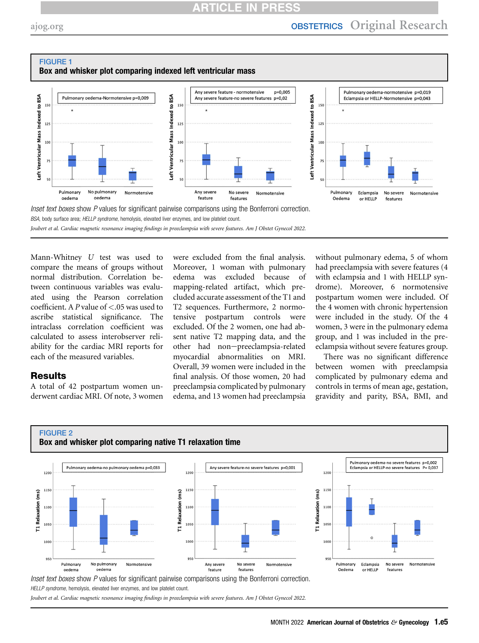# **ARTICLE IN PRES**

<span id="page-4-0"></span>

Joubert et al. Cardiac magnetic resonance imaging findings in preeclampsia with severe features. Am J Obstet Gynecol 2022.

Mann-Whitney U test was used to compare the means of groups without normal distribution. Correlation between continuous variables was evaluated using the Pearson correlation coefficient. A P value of  $< 0.05$  was used to ascribe statistical significance. The intraclass correlation coefficient was calculated to assess interobserver reliability for the cardiac MRI reports for each of the measured variables.

### **Results**

A total of 42 postpartum women underwent cardiac MRI. Of note, 3 women were excluded from the final analysis. Moreover, 1 woman with pulmonary edema was excluded because of mapping-related artifact, which precluded accurate assessment of the T1 and T2 sequences. Furthermore, 2 normotensive postpartum controls were excluded. Of the 2 women, one had absent native T2 mapping data, and the other had non-preeclampsia-related myocardial abnormalities on MRI. Overall, 39 women were included in the final analysis. Of those women, 20 had preeclampsia complicated by pulmonary edema, and 13 women had preeclampsia

without pulmonary edema, 5 of whom had preeclampsia with severe features (4 with eclampsia and 1 with HELLP syndrome). Moreover, 6 normotensive postpartum women were included. Of the 4 women with chronic hypertension were included in the study. Of the 4 women, 3 were in the pulmonary edema group, and 1 was included in the preeclampsia without severe features group.

There was no significant difference between women with preeclampsia complicated by pulmonary edema and controls in terms of mean age, gestation, gravidity and parity, BSA, BMI, and

<span id="page-4-1"></span>

Inset text boxes show P values for significant pairwise comparisons using the Bonferroni correction. HELLP syndrome, hemolysis, elevated liver enzymes, and low platelet count.

Joubert et al. Cardiac magnetic resonance imaging findings in preeclampsia with severe features. Am J Obstet Gynecol 2022.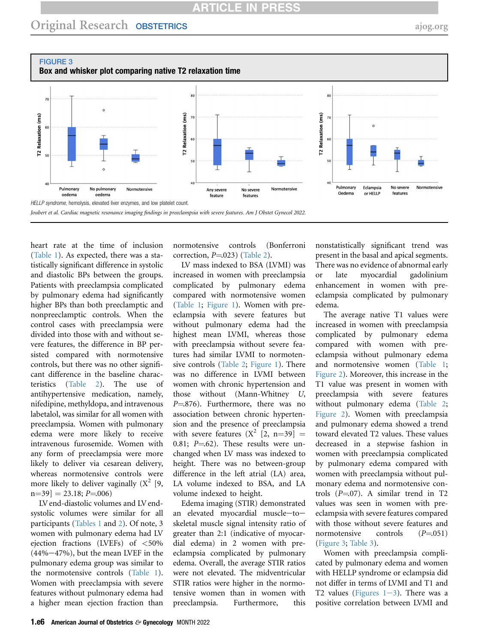# **ARTICLE IN PRESS**

<span id="page-5-0"></span>



heart rate at the time of inclusion [\(Table 1\)](#page-2-0). As expected, there was a statistically significant difference in systolic and diastolic BPs between the groups. Patients with preeclampsia complicated by pulmonary edema had significantly higher BPs than both preeclamptic and nonpreeclamptic controls. When the control cases with preeclampsia were divided into those with and without severe features, the difference in BP persisted compared with normotensive controls, but there was no other significant difference in the baseline characteristics [\(Table 2\)](#page-3-0). The use of antihypertensive medication, namely, nifedipine, methyldopa, and intravenous labetalol, was similar for all women with preeclampsia. Women with pulmonary edema were more likely to receive intravenous furosemide. Women with any form of preeclampsia were more likely to deliver via cesarean delivery, whereas normotensive controls were more likely to deliver vaginally  $(X^2 \mid 9,$  $n=39$ ] = 23.18; P=.006)

LV end-diastolic volumes and LV endsystolic volumes were similar for all participants [\(Tables 1](#page-2-0) and [2](#page-3-0)). Of note, 3 women with pulmonary edema had LV ejection fractions (LVEFs) of <50%  $(44\% - 47\%)$ , but the mean LVEF in the pulmonary edema group was similar to the normotensive controls [\(Table 1](#page-2-0)). Women with preeclampsia with severe features without pulmonary edema had a higher mean ejection fraction than normotensive controls (Bonferroni correction,  $P=023$ ) ([Table 2\)](#page-3-0).

LV mass indexed to BSA (LVMI) was increased in women with preeclampsia complicated by pulmonary edema compared with normotensive women ([Table 1](#page-2-0); [Figure 1](#page-4-0)). Women with preeclampsia with severe features but without pulmonary edema had the highest mean LVMI, whereas those with preeclampsia without severe features had similar LVMI to normotensive controls ([Table 2](#page-3-0); [Figure 1\)](#page-4-0). There was no difference in LVMI between women with chronic hypertension and those without (Mann-Whitney U,  $P = 876$ . Furthermore, there was no association between chronic hypertension and the presence of preeclampsia with severe features  $(X^2 \mid 2, n=39)$  = 0.81;  $P = 62$ ). These results were unchanged when LV mass was indexed to height. There was no between-group difference in the left atrial (LA) area, LA volume indexed to BSA, and LA volume indexed to height.

Edema imaging (STIR) demonstrated an elevated myocardial muscle $-to$ skeletal muscle signal intensity ratio of greater than 2:1 (indicative of myocardial edema) in 2 women with preeclampsia complicated by pulmonary edema. Overall, the average STIR ratios were not elevated. The midventricular STIR ratios were higher in the normotensive women than in women with preeclampsia. Furthermore, this

nonstatistically significant trend was present in the basal and apical segments. There was no evidence of abnormal early or late myocardial gadolinium enhancement in women with preeclampsia complicated by pulmonary edema.

The average native T1 values were increased in women with preeclampsia complicated by pulmonary edema compared with women with preeclampsia without pulmonary edema and normotensive women [\(Table 1;](#page-2-0) [Figure 2](#page-4-1)). Moreover, this increase in the T1 value was present in women with preeclampsia with severe features without pulmonary edema ([Table 2;](#page-3-0) [Figure 2](#page-4-1)). Women with preeclampsia and pulmonary edema showed a trend toward elevated T2 values. These values decreased in a stepwise fashion in women with preeclampsia complicated by pulmonary edema compared with women with preeclampsia without pulmonary edema and normotensive controls  $(P=07)$ . A similar trend in T2 values was seen in women with preeclampsia with severe features compared with those without severe features and normotensive controls  $(P=051)$ [\(Figure 3;](#page-5-0) [Table 3\)](#page-6-0).

Women with preeclampsia complicated by pulmonary edema and women with HELLP syndrome or eclampsia did not differ in terms of LVMI and T1 and T2 values (Figures  $1-3$ ). There was a positive correlation between LVMI and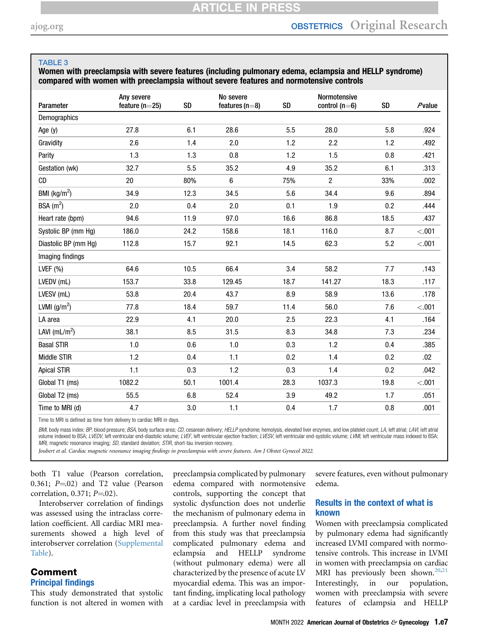### <span id="page-6-0"></span>TABLE 3

### Women with preeclampsia with severe features (including pulmonary edema, eclampsia and HELLP syndrome) compared with women with preeclampsia without severe features and normotensive controls

| Parameter                 | Any severe<br>feature ( $n=25$ ) | SD   | No severe<br>features ( $n=8$ ) | SD   | Normotensive<br>control $(n=6)$ | <b>SD</b> | $P$ value |
|---------------------------|----------------------------------|------|---------------------------------|------|---------------------------------|-----------|-----------|
| Demographics              |                                  |      |                                 |      |                                 |           |           |
| Age (y)                   | 27.8                             | 6.1  | 28.6                            | 5.5  | 28.0                            | 5.8       | .924      |
| Gravidity                 | 2.6                              | 1.4  | 2.0                             | 1.2  | 2.2                             | 1.2       | .492      |
| Parity                    | 1.3                              | 1.3  | 0.8                             | 1.2  | 1.5                             | 0.8       | .421      |
| Gestation (wk)            | 32.7                             | 5.5  | 35.2                            | 4.9  | 35.2                            | 6.1       | .313      |
| <b>CD</b>                 | 20                               | 80%  | 6                               | 75%  | $\overline{c}$                  | 33%       | .002      |
| BMI ( $kg/m2$ )           | 34.9                             | 12.3 | 34.5                            | 5.6  | 34.4                            | 9.6       | .894      |
| BSA $(m^2)$               | 2.0                              | 0.4  | 2.0                             | 0.1  | 1.9                             | 0.2       | .444      |
| Heart rate (bpm)          | 94.6                             | 11.9 | 97.0                            | 16.6 | 86.8                            | 18.5      | .437      |
| Systolic BP (mm Hg)       | 186.0                            | 24.2 | 158.6                           | 18.1 | 116.0                           | 8.7       | < .001    |
| Diastolic BP (mm Hg)      | 112.8                            | 15.7 | 92.1                            | 14.5 | 62.3                            | 5.2       | < .001    |
| Imaging findings          |                                  |      |                                 |      |                                 |           |           |
| LVEF $(% )$               | 64.6                             | 10.5 | 66.4                            | 3.4  | 58.2                            | 7.7       | .143      |
| LVEDV (mL)                | 153.7                            | 33.8 | 129.45                          | 18.7 | 141.27                          | 18.3      | .117      |
| LVESV (mL)                | 53.8                             | 20.4 | 43.7                            | 8.9  | 58.9                            | 13.6      | .178      |
| LVMI $(g/m^2)$            | 77.8                             | 18.4 | 59.7                            | 11.4 | 56.0                            | 7.6       | < .001    |
| LA area                   | 22.9                             | 4.1  | 20.0                            | 2.5  | 22.3                            | 4.1       | .164      |
| LAVI (mL/m <sup>2</sup> ) | 38.1                             | 8.5  | 31.5                            | 8.3  | 34.8                            | 7.3       | .234      |
| <b>Basal STIR</b>         | 1.0                              | 0.6  | 1.0                             | 0.3  | 1.2                             | 0.4       | .385      |
| Middle STIR               | 1.2                              | 0.4  | 1.1                             | 0.2  | 1.4                             | 0.2       | .02       |
| <b>Apical STIR</b>        | 1.1                              | 0.3  | 1.2                             | 0.3  | 1.4                             | 0.2       | .042      |
| Global T1 (ms)            | 1082.2                           | 50.1 | 1001.4                          | 28.3 | 1037.3                          | 19.8      | < .001    |
| Global T2 (ms)            | 55.5                             | 6.8  | 52.4                            | 3.9  | 49.2                            | 1.7       | .051      |
| Time to MRI (d)           | 4.7                              | 3.0  | 1.1                             | 0.4  | 1.7                             | 0.8       | .001      |

Time to MRI is defined as time from delivery to cardiac MRI in days.

BMI, body mass index; BP, blood pressure; BSA, body surface area; CD, cesarean delivery; HELLP syndrome, hemolysis, elevated liver enzymes, and low platelet count; LA, left atrial; LAVI, left atrial volume indexed to BSA; LVEDV, left ventricular end-diastolic volume; LVEF, left ventricular ejection fraction; LVESV, left ventricular end-systolic volume; LVMI, left ventricular mass indexed to BSA; MRI, magnetic resonance imaging; SD, standard deviation; STIR, short-tau inversion recovery.

Joubert et al. Cardiac magnetic resonance imaging findings in preeclampsia with severe features. Am J Obstet Gynecol 2022.

both T1 value (Pearson correlation, 0.361;  $P = 02$ ) and T2 value (Pearson correlation,  $0.371; P = 02$ ).

Interobserver correlation of findings was assessed using the intraclass correlation coefficient. All cardiac MRI measurements showed a high level of interobserver correlation ([Supplemental](#page-10-0) [Table\)](#page-10-0).

# Comment

### Principal findings

This study demonstrated that systolic function is not altered in women with preeclampsia complicated by pulmonary edema compared with normotensive controls, supporting the concept that systolic dysfunction does not underlie the mechanism of pulmonary edema in preeclampsia. A further novel finding from this study was that preeclampsia complicated pulmonary edema and eclampsia and HELLP syndrome (without pulmonary edema) were all characterized by the presence of acute LV myocardial edema. This was an important finding, implicating local pathology at a cardiac level in preeclampsia with severe features, even without pulmonary edema.

### Results in the context of what is known

Women with preeclampsia complicated by pulmonary edema had significantly increased LVMI compared with normotensive controls. This increase in LVMI in women with preeclampsia on cardiac MRI has previously been shown.<sup>[20](#page-8-9),[21](#page-8-10)</sup> Interestingly, in our population, women with preeclampsia with severe features of eclampsia and HELLP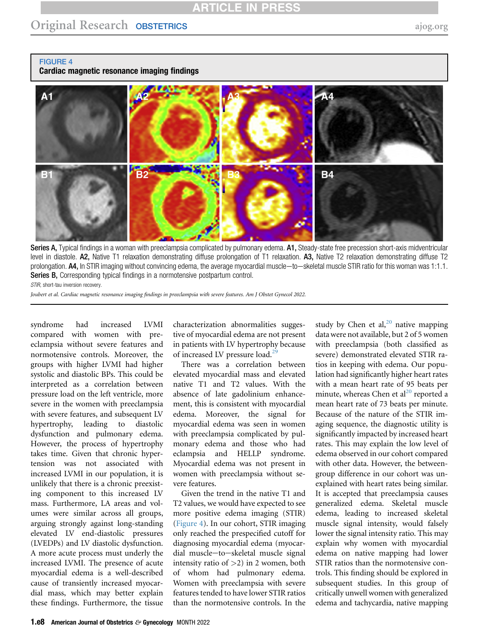<span id="page-7-0"></span>FIGURE 4

Cardiac magnetic resonance imaging findings



Series A, Typical findings in a woman with preeclampsia complicated by pulmonary edema. A1, Steady-state free precession short-axis midventricular level in diastole. A2, Native T1 relaxation demonstrating diffuse prolongation of T1 relaxation. A3, Native T2 relaxation demonstrating diffuse T2 prolongation. A4, In STIR imaging without convincing edema, the average myocardial muscle-to-skeletal muscle STIR ratio for this woman was 1:1.1. Series B, Corresponding typical findings in a normotensive postpartum control.

STIR, short-tau inversion recovery.

Joubert et al. Cardiac magnetic resonance imaging findings in preeclampsia with severe features. Am J Obstet Gynecol 2022.

syndrome had increased LVMI compared with women with preeclampsia without severe features and normotensive controls. Moreover, the groups with higher LVMI had higher systolic and diastolic BPs. This could be interpreted as a correlation between pressure load on the left ventricle, more severe in the women with preeclampsia with severe features, and subsequent LV hypertrophy, leading to diastolic dysfunction and pulmonary edema. However, the process of hypertrophy takes time. Given that chronic hypertension was not associated with increased LVMI in our population, it is unlikely that there is a chronic preexisting component to this increased LV mass. Furthermore, LA areas and volumes were similar across all groups, arguing strongly against long-standing elevated LV end-diastolic pressures (LVEDPs) and LV diastolic dysfunction. A more acute process must underly the increased LVMI. The presence of acute myocardial edema is a well-described cause of transiently increased myocardial mass, which may better explain these findings. Furthermore, the tissue

characterization abnormalities suggestive of myocardial edema are not present in patients with LV hypertrophy because of increased LV pressure load.<sup>[29](#page-9-5)</sup>

There was a correlation between elevated myocardial mass and elevated native T1 and T2 values. With the absence of late gadolinium enhancement, this is consistent with myocardial edema. Moreover, the signal for myocardial edema was seen in women with preeclampsia complicated by pulmonary edema and those who had eclampsia and HELLP syndrome. Myocardial edema was not present in women with preeclampsia without severe features.

Given the trend in the native T1 and T2 values, we would have expected to see more positive edema imaging (STIR) ([Figure 4\)](#page-7-0). In our cohort, STIR imaging only reached the prespecified cutoff for diagnosing myocardial edema (myocardial muscle-to-skeletal muscle signal intensity ratio of  $>2$ ) in 2 women, both of whom had pulmonary edema. Women with preeclampsia with severe features tended to have lower STIR ratios than the normotensive controls. In the study by Chen et al, $^{20}$  $^{20}$  $^{20}$  native mapping data were not available, but 2 of 5 women with preeclampsia (both classified as severe) demonstrated elevated STIR ratios in keeping with edema. Our population had significantly higher heart rates with a mean heart rate of 95 beats per minute, whereas Chen et al $^{20}$  $^{20}$  $^{20}$  reported a mean heart rate of 73 beats per minute. Because of the nature of the STIR imaging sequence, the diagnostic utility is significantly impacted by increased heart rates. This may explain the low level of edema observed in our cohort compared with other data. However, the betweengroup difference in our cohort was unexplained with heart rates being similar. It is accepted that preeclampsia causes generalized edema. Skeletal muscle edema, leading to increased skeletal muscle signal intensity, would falsely lower the signal intensity ratio. This may explain why women with myocardial edema on native mapping had lower STIR ratios than the normotensive controls. This finding should be explored in subsequent studies. In this group of critically unwell women with generalized edema and tachycardia, native mapping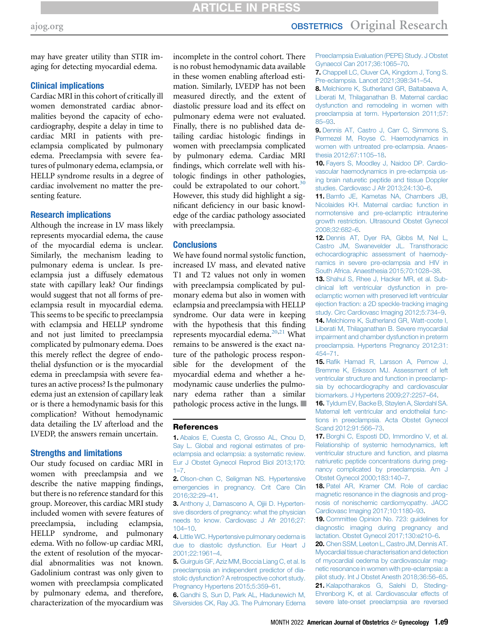# [ajog.org](http://www.AJOG.org) **OBSTETRICS** Original Research

may have greater utility than STIR imaging for detecting myocardial edema.

### Clinical implications

Cardiac MRI in this cohort of critically ill women demonstrated cardiac abnormalities beyond the capacity of echocardiography, despite a delay in time to cardiac MRI in patients with preeclampsia complicated by pulmonary edema. Preeclampsia with severe features of pulmonary edema, eclampsia, or HELLP syndrome results in a degree of cardiac involvement no matter the presenting feature.

### Research implications

Although the increase in LV mass likely represents myocardial edema, the cause of the myocardial edema is unclear. Similarly, the mechanism leading to pulmonary edema is unclear. Is preeclampsia just a diffusely edematous state with capillary leak? Our findings would suggest that not all forms of preeclampsia result in myocardial edema. This seems to be specific to preeclampsia with eclampsia and HELLP syndrome and not just limited to preeclampsia complicated by pulmonary edema. Does this merely reflect the degree of endothelial dysfunction or is the myocardial edema in preeclampsia with severe features an active process? Is the pulmonary edema just an extension of capillary leak or is there a hemodynamic basis for this complication? Without hemodynamic data detailing the LV afterload and the LVEDP, the answers remain uncertain.

#### Strengths and limitations

Our study focused on cardiac MRI in women with preeclampsia and we describe the native mapping findings, but there is no reference standard for this group. Moreover, this cardiac MRI study included women with severe features of preeclampsia, including eclampsia, HELLP syndrome, and pulmonary edema. With no follow-up cardiac MRI, the extent of resolution of the myocardial abnormalities was not known. Gadolinium contrast was only given to women with preeclampsia complicated by pulmonary edema, and therefore, characterization of the myocardium was incomplete in the control cohort. There is no robust hemodynamic data available in these women enabling afterload estimation. Similarly, LVEDP has not been measured directly, and the extent of diastolic pressure load and its effect on pulmonary edema were not evaluated. Finally, there is no published data detailing cardiac histologic findings in women with preeclampsia complicated by pulmonary edema. Cardiac MRI findings, which correlate well with histologic findings in other pathologies, could be extrapolated to our cohort.<sup>30</sup> However, this study did highlight a significant deficiency in our basic knowledge of the cardiac pathology associated with preeclampsia.

### **Conclusions**

We have found normal systolic function, increased LV mass, and elevated native T1 and T2 values not only in women with preeclampsia complicated by pulmonary edema but also in women with eclampsia and preeclampsia with HELLP syndrome. Our data were in keeping with the hypothesis that this finding represents myocardial edema. $20,21$  $20,21$  What remains to be answered is the exact nature of the pathologic process responsible for the development of the myocardial edema and whether a hemodynamic cause underlies the pulmonary edema rather than a similar pathologic process active in the lungs.  $\blacksquare$ 

### <span id="page-8-0"></span>References

1. [Abalos E, Cuesta C, Grosso AL, Chou D,](http://refhub.elsevier.com/S0002-9378(22)00180-6/sref1) [Say L. Global and regional estimates of pre](http://refhub.elsevier.com/S0002-9378(22)00180-6/sref1)[eclampsia and eclampsia: a systematic review.](http://refhub.elsevier.com/S0002-9378(22)00180-6/sref1) [Eur J Obstet Gynecol Reprod Biol 2013;170:](http://refhub.elsevier.com/S0002-9378(22)00180-6/sref1)  $1 - 7$ .

<span id="page-8-1"></span>2. [Olson-chen C, Seligman NS. Hypertensive](http://refhub.elsevier.com/S0002-9378(22)00180-6/sref2) [emergencies in pregnancy. Crit Care Clin](http://refhub.elsevier.com/S0002-9378(22)00180-6/sref2) [2016;32:29](http://refhub.elsevier.com/S0002-9378(22)00180-6/sref2)–41.

<span id="page-8-2"></span>3. [Anthony J, Damasceno A, Ojjii D. Hyperten](http://refhub.elsevier.com/S0002-9378(22)00180-6/sref3)[sive disorders of pregnancy: what the physician](http://refhub.elsevier.com/S0002-9378(22)00180-6/sref3) [needs to know. Cardiovasc J Afr 2016;27:](http://refhub.elsevier.com/S0002-9378(22)00180-6/sref3) [104](http://refhub.elsevier.com/S0002-9378(22)00180-6/sref3)–10.

<span id="page-8-3"></span>4. [Little WC. Hypertensive pulmonary oedema is](http://refhub.elsevier.com/S0002-9378(22)00180-6/sref4) [due to diastolic dysfunction. Eur Heart J](http://refhub.elsevier.com/S0002-9378(22)00180-6/sref4) [2001;22:1961](http://refhub.elsevier.com/S0002-9378(22)00180-6/sref4)–4.

<span id="page-8-4"></span>5. [Guirguis GF, Aziz MM, Boccia Liang C, et al. Is](http://refhub.elsevier.com/S0002-9378(22)00180-6/sref5) [preeclampsia an independent predictor of dia](http://refhub.elsevier.com/S0002-9378(22)00180-6/sref5)[stolic dysfunction? A retrospective cohort study.](http://refhub.elsevier.com/S0002-9378(22)00180-6/sref5) [Pregnancy Hypertens 2015;5:359](http://refhub.elsevier.com/S0002-9378(22)00180-6/sref5)–61.

6. [Gandhi S, Sun D, Park AL, Hladunewich M,](http://refhub.elsevier.com/S0002-9378(22)00180-6/sref6) [Silversides CK, Ray JG. The Pulmonary Edema](http://refhub.elsevier.com/S0002-9378(22)00180-6/sref6) [Preeclampsia Evaluation \(PEPE\) Study. J Obstet](http://refhub.elsevier.com/S0002-9378(22)00180-6/sref6) [Gynaecol Can 2017;36:1065](http://refhub.elsevier.com/S0002-9378(22)00180-6/sref6)–70.

7. [Chappell LC, Cluver CA, Kingdom J, Tong S.](http://refhub.elsevier.com/S0002-9378(22)00180-6/sref7) [Pre-eclampsia. Lancet 2021;398:341](http://refhub.elsevier.com/S0002-9378(22)00180-6/sref7)–54.

<span id="page-8-5"></span>8. [Melchiorre K, Sutherland GR, Baltabaeva A,](http://refhub.elsevier.com/S0002-9378(22)00180-6/sref8) [Liberati M, Thilaganathan B. Maternal cardiac](http://refhub.elsevier.com/S0002-9378(22)00180-6/sref8) [dysfunction and remodeling in women with](http://refhub.elsevier.com/S0002-9378(22)00180-6/sref8) [preeclampsia at term. Hypertension 2011;57:](http://refhub.elsevier.com/S0002-9378(22)00180-6/sref8) 85–[93](http://refhub.elsevier.com/S0002-9378(22)00180-6/sref8).

9. [Dennis AT, Castro J, Carr C, Simmons S,](http://refhub.elsevier.com/S0002-9378(22)00180-6/sref9) [Permezel M, Royse C. Haemodynamics in](http://refhub.elsevier.com/S0002-9378(22)00180-6/sref9) [women with untreated pre-eclampsia. Anaes](http://refhub.elsevier.com/S0002-9378(22)00180-6/sref9)[thesia 2012;67:1105](http://refhub.elsevier.com/S0002-9378(22)00180-6/sref9)–18.

10. [Fayers S, Moodley J, Naidoo DP. Cardio](http://refhub.elsevier.com/S0002-9378(22)00180-6/sref10)[vascular haemodynamics in pre-eclampsia us](http://refhub.elsevier.com/S0002-9378(22)00180-6/sref10)[ing brain naturetic peptide and tissue Doppler](http://refhub.elsevier.com/S0002-9378(22)00180-6/sref10) [studies. Cardiovasc J Afr 2013;24:130](http://refhub.elsevier.com/S0002-9378(22)00180-6/sref10)–6.

11. [Bamfo JE, Kametas NA, Chambers JB,](http://refhub.elsevier.com/S0002-9378(22)00180-6/sref11) [Nicolaides KH. Maternal cardiac function in](http://refhub.elsevier.com/S0002-9378(22)00180-6/sref11) [normotensive and pre-eclamptic intrauterine](http://refhub.elsevier.com/S0002-9378(22)00180-6/sref11) [growth restriction. Ultrasound Obstet Gynecol](http://refhub.elsevier.com/S0002-9378(22)00180-6/sref11) [2008;32:682](http://refhub.elsevier.com/S0002-9378(22)00180-6/sref11)–6.

12. [Dennis AT, Dyer RA, Gibbs M, Nel L,](http://refhub.elsevier.com/S0002-9378(22)00180-6/sref12) [Castro JM, Swanevelder JL. Transthoracic](http://refhub.elsevier.com/S0002-9378(22)00180-6/sref12) [echocardiographic assessment of haemody](http://refhub.elsevier.com/S0002-9378(22)00180-6/sref12)[namics in severe pre-eclampsia and HIV in](http://refhub.elsevier.com/S0002-9378(22)00180-6/sref12) [South Africa. Anaesthesia 2015;70:1028](http://refhub.elsevier.com/S0002-9378(22)00180-6/sref12)–38.

<span id="page-8-6"></span>13. [Shahul S, Rhee J, Hacker MR, et al. Sub](http://refhub.elsevier.com/S0002-9378(22)00180-6/sref13)[clinical left ventricular dysfunction in pre](http://refhub.elsevier.com/S0002-9378(22)00180-6/sref13)[eclamptic women with preserved left ventricular](http://refhub.elsevier.com/S0002-9378(22)00180-6/sref13) [ejection fraction: a 2D speckle-tracking imaging](http://refhub.elsevier.com/S0002-9378(22)00180-6/sref13) [study. Circ Cardiovasc Imaging 2012;5:734](http://refhub.elsevier.com/S0002-9378(22)00180-6/sref13)–9. 14. [Melchiorre K, Sutherland GR, Watt-coote I,](http://refhub.elsevier.com/S0002-9378(22)00180-6/sref14) [Liberati M, Thilaganathan B. Severe myocardial](http://refhub.elsevier.com/S0002-9378(22)00180-6/sref14) [impairment and chamber dysfunction in preterm](http://refhub.elsevier.com/S0002-9378(22)00180-6/sref14) [preeclampsia. Hypertens Pregnancy 2012;31:](http://refhub.elsevier.com/S0002-9378(22)00180-6/sref14) [454](http://refhub.elsevier.com/S0002-9378(22)00180-6/sref14)–71.

15. Rafi[k Hamad R, Larsson A, Pernow J,](http://refhub.elsevier.com/S0002-9378(22)00180-6/sref15) [Bremme K, Eriksson MJ. Assessment of left](http://refhub.elsevier.com/S0002-9378(22)00180-6/sref15) [ventricular structure and function in preeclamp](http://refhub.elsevier.com/S0002-9378(22)00180-6/sref15)[sia by echocardiography and cardiovascular](http://refhub.elsevier.com/S0002-9378(22)00180-6/sref15) [biomarkers. J Hypertens 2009;27:2257](http://refhub.elsevier.com/S0002-9378(22)00180-6/sref15)–64.

16. [Tyldum EV, Backe B, Støylen A, Slørdahl SA.](http://refhub.elsevier.com/S0002-9378(22)00180-6/sref16) [Maternal left ventricular and endothelial func](http://refhub.elsevier.com/S0002-9378(22)00180-6/sref16)[tions in preeclampsia. Acta Obstet Gynecol](http://refhub.elsevier.com/S0002-9378(22)00180-6/sref16) [Scand 2012;91:566](http://refhub.elsevier.com/S0002-9378(22)00180-6/sref16)–73.

17. [Borghi C, Esposti DD, Immordino V, et al.](http://refhub.elsevier.com/S0002-9378(22)00180-6/sref17) [Relationship of systemic hemodynamics, left](http://refhub.elsevier.com/S0002-9378(22)00180-6/sref17) [ventricular structure and function, and plasma](http://refhub.elsevier.com/S0002-9378(22)00180-6/sref17) [natriuretic peptide concentrations during preg](http://refhub.elsevier.com/S0002-9378(22)00180-6/sref17)[nancy complicated by preeclampsia. Am J](http://refhub.elsevier.com/S0002-9378(22)00180-6/sref17) [Obstet Gynecol 2000;183:140](http://refhub.elsevier.com/S0002-9378(22)00180-6/sref17)–7.

<span id="page-8-7"></span>18. [Patel AR, Kramer CM. Role of cardiac](http://refhub.elsevier.com/S0002-9378(22)00180-6/sref18) [magnetic resonance in the diagnosis and prog](http://refhub.elsevier.com/S0002-9378(22)00180-6/sref18)[nosis of nonischemic cardiomyopathy. JACC](http://refhub.elsevier.com/S0002-9378(22)00180-6/sref18) [Cardiovasc Imaging 2017;10:1180](http://refhub.elsevier.com/S0002-9378(22)00180-6/sref18)–93.

<span id="page-8-8"></span>19. [Committee Opinion No. 723: guidelines for](http://refhub.elsevier.com/S0002-9378(22)00180-6/sref19) [diagnostic imaging during pregnancy and](http://refhub.elsevier.com/S0002-9378(22)00180-6/sref19) [lactation. Obstet Gynecol 2017;130:e210](http://refhub.elsevier.com/S0002-9378(22)00180-6/sref19)–6.

<span id="page-8-10"></span><span id="page-8-9"></span>20. [Chen SSM, Leeton L, Castro JM, Dennis AT.](http://refhub.elsevier.com/S0002-9378(22)00180-6/sref20) [Myocardial tissue characterisation and detection](http://refhub.elsevier.com/S0002-9378(22)00180-6/sref20) [of myocardial oedema by cardiovascular mag](http://refhub.elsevier.com/S0002-9378(22)00180-6/sref20)[netic resonance in women with pre-eclampsia: a](http://refhub.elsevier.com/S0002-9378(22)00180-6/sref20) [pilot study. Int J Obstet Anesth 2018;36:56](http://refhub.elsevier.com/S0002-9378(22)00180-6/sref20)–65. 21. [Kalapotharakos G, Salehi D, Steding-](http://refhub.elsevier.com/S0002-9378(22)00180-6/sref21)[Ehrenborg K, et al. Cardiovascular effects of](http://refhub.elsevier.com/S0002-9378(22)00180-6/sref21) [severe late-onset preeclampsia are reversed](http://refhub.elsevier.com/S0002-9378(22)00180-6/sref21)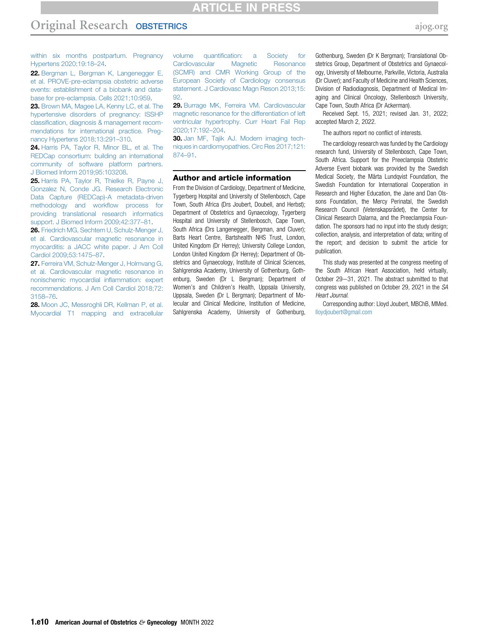### ARTICLE IN PRESS

# Original Research OBSTETRICS [ajog.org](http://www.AJOG.org)

[within six months postpartum. Pregnancy](http://refhub.elsevier.com/S0002-9378(22)00180-6/sref21) [Hypertens 2020;19:18](http://refhub.elsevier.com/S0002-9378(22)00180-6/sref21)–24.

<span id="page-9-0"></span>22. [Bergman L, Bergman K, Langenegger E,](http://refhub.elsevier.com/S0002-9378(22)00180-6/sref22) [et al. PROVE-pre-eclampsia obstetric adverse](http://refhub.elsevier.com/S0002-9378(22)00180-6/sref22) [events: establishment of a biobank and data](http://refhub.elsevier.com/S0002-9378(22)00180-6/sref22)[base for pre-eclampsia. Cells 2021;10:959.](http://refhub.elsevier.com/S0002-9378(22)00180-6/sref22)

<span id="page-9-1"></span>23. [Brown MA, Magee LA, Kenny LC, et al. The](http://refhub.elsevier.com/S0002-9378(22)00180-6/sref23) [hypertensive disorders of pregnancy: ISSHP](http://refhub.elsevier.com/S0002-9378(22)00180-6/sref23) classifi[cation, diagnosis & management recom](http://refhub.elsevier.com/S0002-9378(22)00180-6/sref23)[mendations for international practice. Preg](http://refhub.elsevier.com/S0002-9378(22)00180-6/sref23)[nancy Hypertens 2018;13:291](http://refhub.elsevier.com/S0002-9378(22)00180-6/sref23)–310.

<span id="page-9-2"></span>24. [Harris PA, Taylor R, Minor BL, et al. The](http://refhub.elsevier.com/S0002-9378(22)00180-6/sref24) [REDCap consortium: building an international](http://refhub.elsevier.com/S0002-9378(22)00180-6/sref24) [community of software platform partners.](http://refhub.elsevier.com/S0002-9378(22)00180-6/sref24) [J Biomed Inform 2019;95:103208.](http://refhub.elsevier.com/S0002-9378(22)00180-6/sref24)

<span id="page-9-3"></span>25. [Harris PA, Taylor R, Thielke R, Payne J,](http://refhub.elsevier.com/S0002-9378(22)00180-6/sref25) [Gonzalez N, Conde JG. Research Electronic](http://refhub.elsevier.com/S0002-9378(22)00180-6/sref25) [Data Capture \(REDCap\)-A metadata-driven](http://refhub.elsevier.com/S0002-9378(22)00180-6/sref25) [methodology and work](http://refhub.elsevier.com/S0002-9378(22)00180-6/sref25)flow process for [providing translational research informatics](http://refhub.elsevier.com/S0002-9378(22)00180-6/sref25) [support. J Biomed Inform 2009;42:377](http://refhub.elsevier.com/S0002-9378(22)00180-6/sref25)–81.

<span id="page-9-4"></span>26. [Friedrich MG, Sechtem U, Schulz-Menger J,](http://refhub.elsevier.com/S0002-9378(22)00180-6/sref26) [et al. Cardiovascular magnetic resonance in](http://refhub.elsevier.com/S0002-9378(22)00180-6/sref26) [myocarditis: a JACC white paper. J Am Coll](http://refhub.elsevier.com/S0002-9378(22)00180-6/sref26) [Cardiol 2009;53:1475](http://refhub.elsevier.com/S0002-9378(22)00180-6/sref26)–87.

27. [Ferreira VM, Schulz-Menger J, Holmvang G,](http://refhub.elsevier.com/S0002-9378(22)00180-6/sref27) [et al. Cardiovascular magnetic resonance in](http://refhub.elsevier.com/S0002-9378(22)00180-6/sref27) [nonischemic myocardial in](http://refhub.elsevier.com/S0002-9378(22)00180-6/sref27)flammation: expert [recommendations. J Am Coll Cardiol 2018;72:](http://refhub.elsevier.com/S0002-9378(22)00180-6/sref27) [3158](http://refhub.elsevier.com/S0002-9378(22)00180-6/sref27)–76.

28. [Moon JC, Messroghli DR, Kellman P, et al.](http://refhub.elsevier.com/S0002-9378(22)00180-6/sref28) [Myocardial T1 mapping and extracellular](http://refhub.elsevier.com/S0002-9378(22)00180-6/sref28)

volume quantifi[cation: a Society for](http://refhub.elsevier.com/S0002-9378(22)00180-6/sref28) [Cardiovascular Magnetic Resonance](http://refhub.elsevier.com/S0002-9378(22)00180-6/sref28) [\(SCMR\) and CMR Working Group of the](http://refhub.elsevier.com/S0002-9378(22)00180-6/sref28) [European Society of Cardiology consensus](http://refhub.elsevier.com/S0002-9378(22)00180-6/sref28) [statement. J Cardiovasc Magn Reson 2013;15:](http://refhub.elsevier.com/S0002-9378(22)00180-6/sref28) [92](http://refhub.elsevier.com/S0002-9378(22)00180-6/sref28).

<span id="page-9-5"></span>29. [Burrage MK, Ferreira VM. Cardiovascular](http://refhub.elsevier.com/S0002-9378(22)00180-6/sref29) [magnetic resonance for the differentiation of left](http://refhub.elsevier.com/S0002-9378(22)00180-6/sref29) [ventricular hypertrophy. Curr Heart Fail Rep](http://refhub.elsevier.com/S0002-9378(22)00180-6/sref29) [2020;17:192](http://refhub.elsevier.com/S0002-9378(22)00180-6/sref29)–204.

<span id="page-9-6"></span>30. [Jan MF, Tajik AJ. Modern imaging tech](http://refhub.elsevier.com/S0002-9378(22)00180-6/sref30)[niques in cardiomyopathies. Circ Res 2017;121:](http://refhub.elsevier.com/S0002-9378(22)00180-6/sref30) [874](http://refhub.elsevier.com/S0002-9378(22)00180-6/sref30)–91.

#### Author and article information

From the Division of Cardiology, Department of Medicine, Tygerberg Hospital and University of Stellenbosch, Cape Town, South Africa (Drs Joubert, Doubell, and Herbst); Department of Obstetrics and Gynaecology, Tygerberg Hospital and University of Stellenbosch, Cape Town, South Africa (Drs Langenegger, Bergman, and Cluver); Barts Heart Centre, Bartshealth NHS Trust, London, United Kingdom (Dr Herrey); University College London, London United Kingdom (Dr Herrey); Department of Obstetrics and Gynaecology, Institute of Clinical Sciences, Sahlgrenska Academy, University of Gothenburg, Gothenburg, Sweden (Dr L Bergman); Department of Women's and Children's Health, Uppsala University, Uppsala, Sweden (Dr L Bergman); Department of Molecular and Clinical Medicine, Institution of Medicine, Sahlgrenska Academy, University of Gothenburg,

Gothenburg, Sweden (Dr K Bergman); Translational Obstetrics Group, Department of Obstetrics and Gynaecology, University of Melbourne, Parkville, Victoria, Australia (Dr Cluver); and Faculty of Medicine and Health Sciences, Division of Radiodiagnosis, Department of Medical Imaging and Clinical Oncology, Stellenbosch University, Cape Town, South Africa (Dr Ackerman).

Received Sept. 15, 2021; revised Jan. 31, 2022; accepted March 2, 2022.

The authors report no conflict of interests.

The cardiology research was funded by the Cardiology research fund, University of Stellenbosch, Cape Town, South Africa. Support for the Preeclampsia Obstetric Adverse Event biobank was provided by the Swedish Medical Society, the Märta Lundqvist Foundation, the Swedish Foundation for International Cooperation in Research and Higher Education, the Jane and Dan Olssons Foundation, the Mercy Perinatal, the Swedish Research Council (Vetenskapsrådet), the Center for Clinical Research Dalarna, and the Preeclampsia Foundation. The sponsors had no input into the study design; collection, analysis, and interpretation of data; writing of the report; and decision to submit the article for publication.

This study was presented at the congress meeting of the South African Heart Association, held virtually, October 29-31, 2021. The abstract submitted to that congress was published on October 29, 2021 in the SA Heart Journal.

Corresponding author: Lloyd Joubert, MBChB, MMed. [lloydjoubert@gmail.com](mailto:lloydjoubert@gmail.com)